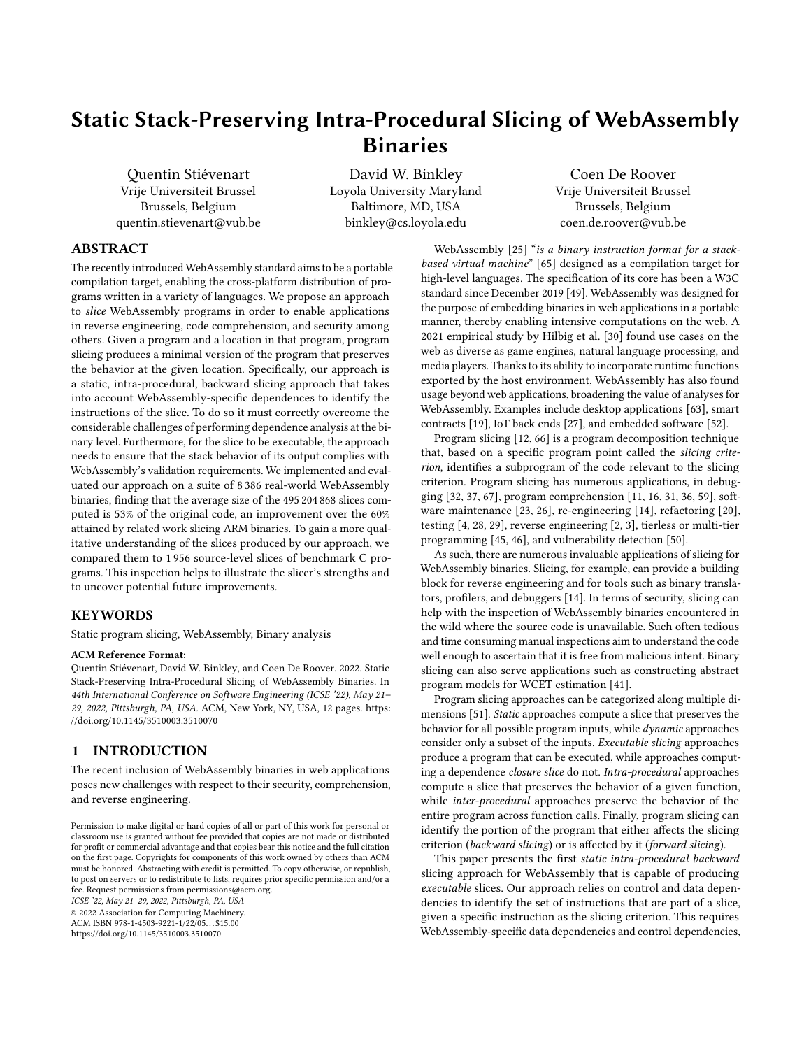# Static Stack-Preserving Intra-Procedural Slicing of WebAssembly **Binaries**

Quentin Stiévenart Vrije Universiteit Brussel Brussels, Belgium quentin.stievenart@vub.be

David W. Binkley Loyola University Maryland Baltimore, MD, USA binkley@cs.loyola.edu

Coen De Roover Vrije Universiteit Brussel Brussels, Belgium coen.de.roover@vub.be

# ABSTRACT

The recently introduced WebAssembly standard aims to be a portable compilation target, enabling the cross-platform distribution of programs written in a variety of languages. We propose an approach to slice WebAssembly programs in order to enable applications in reverse engineering, code comprehension, and security among others. Given a program and a location in that program, program slicing produces a minimal version of the program that preserves the behavior at the given location. Specifically, our approach is a static, intra-procedural, backward slicing approach that takes into account WebAssembly-specific dependences to identify the instructions of the slice. To do so it must correctly overcome the considerable challenges of performing dependence analysis at the binary level. Furthermore, for the slice to be executable, the approach needs to ensure that the stack behavior of its output complies with WebAssembly's validation requirements. We implemented and evaluated our approach on a suite of 8 386 real-world WebAssembly binaries, finding that the average size of the 495 204 868 slices computed is 53% of the original code, an improvement over the 60% attained by related work slicing ARM binaries. To gain a more qualitative understanding of the slices produced by our approach, we compared them to 1 956 source-level slices of benchmark C programs. This inspection helps to illustrate the slicer's strengths and to uncover potential future improvements.

## **KEYWORDS**

Static program slicing, WebAssembly, Binary analysis

#### ACM Reference Format:

Quentin Stiévenart, David W. Binkley, and Coen De Roover. 2022. Static Stack-Preserving Intra-Procedural Slicing of WebAssembly Binaries. In 44th International Conference on Software Engineering (ICSE '22), May 21– 29, 2022, Pittsburgh, PA, USA. ACM, New York, NY, USA, [12](#page-11-0) pages. [https:](https://doi.org/10.1145/3510003.3510070) [//doi.org/10.1145/3510003.3510070](https://doi.org/10.1145/3510003.3510070)

## 1 INTRODUCTION

The recent inclusion of WebAssembly binaries in web applications poses new challenges with respect to their security, comprehension, and reverse engineering.

ICSE '22, May 21–29, 2022, Pittsburgh, PA, USA

© 2022 Association for Computing Machinery.

ACM ISBN 978-1-4503-9221-1/22/05. . . \$15.00 <https://doi.org/10.1145/3510003.3510070>

WebAssembly [\[25\]](#page-10-0) "is a binary instruction format for a stackbased virtual machine" [\[65\]](#page-11-1) designed as a compilation target for high-level languages. The specification of its core has been a W3C standard since December 2019 [\[49\]](#page-11-2). WebAssembly was designed for the purpose of embedding binaries in web applications in a portable manner, thereby enabling intensive computations on the web. A 2021 empirical study by Hilbig et al. [\[30\]](#page-11-3) found use cases on the web as diverse as game engines, natural language processing, and media players. Thanks to its ability to incorporate runtime functions exported by the host environment, WebAssembly has also found usage beyond web applications, broadening the value of analyses for WebAssembly. Examples include desktop applications [\[63\]](#page-11-4), smart contracts [\[19\]](#page-10-1), IoT back ends [\[27\]](#page-10-2), and embedded software [\[52\]](#page-11-5).

Program slicing [\[12,](#page-10-3) [66\]](#page-11-6) is a program decomposition technique that, based on a specific program point called the slicing criterion, identifies a subprogram of the code relevant to the slicing criterion. Program slicing has numerous applications, in debugging [\[32,](#page-11-7) [37,](#page-11-8) [67\]](#page-11-9), program comprehension [\[11,](#page-10-4) [16,](#page-10-5) [31,](#page-11-10) [36,](#page-11-11) [59\]](#page-11-12), software maintenance [\[23,](#page-10-6) [26\]](#page-10-7), re-engineering [\[14\]](#page-10-8), refactoring [\[20\]](#page-10-9), testing [\[4,](#page-10-10) [28,](#page-10-11) [29\]](#page-11-13), reverse engineering [\[2,](#page-10-12) [3\]](#page-10-13), tierless or multi-tier programming [\[45,](#page-11-14) [46\]](#page-11-15), and vulnerability detection [\[50\]](#page-11-16).

As such, there are numerous invaluable applications of slicing for WebAssembly binaries. Slicing, for example, can provide a building block for reverse engineering and for tools such as binary translators, profilers, and debuggers [\[14\]](#page-10-8). In terms of security, slicing can help with the inspection of WebAssembly binaries encountered in the wild where the source code is unavailable. Such often tedious and time consuming manual inspections aim to understand the code well enough to ascertain that it is free from malicious intent. Binary slicing can also serve applications such as constructing abstract program models for WCET estimation [\[41\]](#page-11-17).

Program slicing approaches can be categorized along multiple dimensions [\[51\]](#page-11-18). Static approaches compute a slice that preserves the behavior for all possible program inputs, while dynamic approaches consider only a subset of the inputs. Executable slicing approaches produce a program that can be executed, while approaches computing a dependence closure slice do not. Intra-procedural approaches compute a slice that preserves the behavior of a given function, while inter-procedural approaches preserve the behavior of the entire program across function calls. Finally, program slicing can identify the portion of the program that either affects the slicing criterion (backward slicing) or is affected by it (forward slicing).

This paper presents the first static intra-procedural backward slicing approach for WebAssembly that is capable of producing executable slices. Our approach relies on control and data dependencies to identify the set of instructions that are part of a slice, given a specific instruction as the slicing criterion. This requires WebAssembly-specific data dependencies and control dependencies,

Permission to make digital or hard copies of all or part of this work for personal or classroom use is granted without fee provided that copies are not made or distributed for profit or commercial advantage and that copies bear this notice and the full citation on the first page. Copyrights for components of this work owned by others than ACM must be honored. Abstracting with credit is permitted. To copy otherwise, or republish, to post on servers or to redistribute to lists, requires prior specific permission and/or a fee. Request permissions from permissions@acm.org.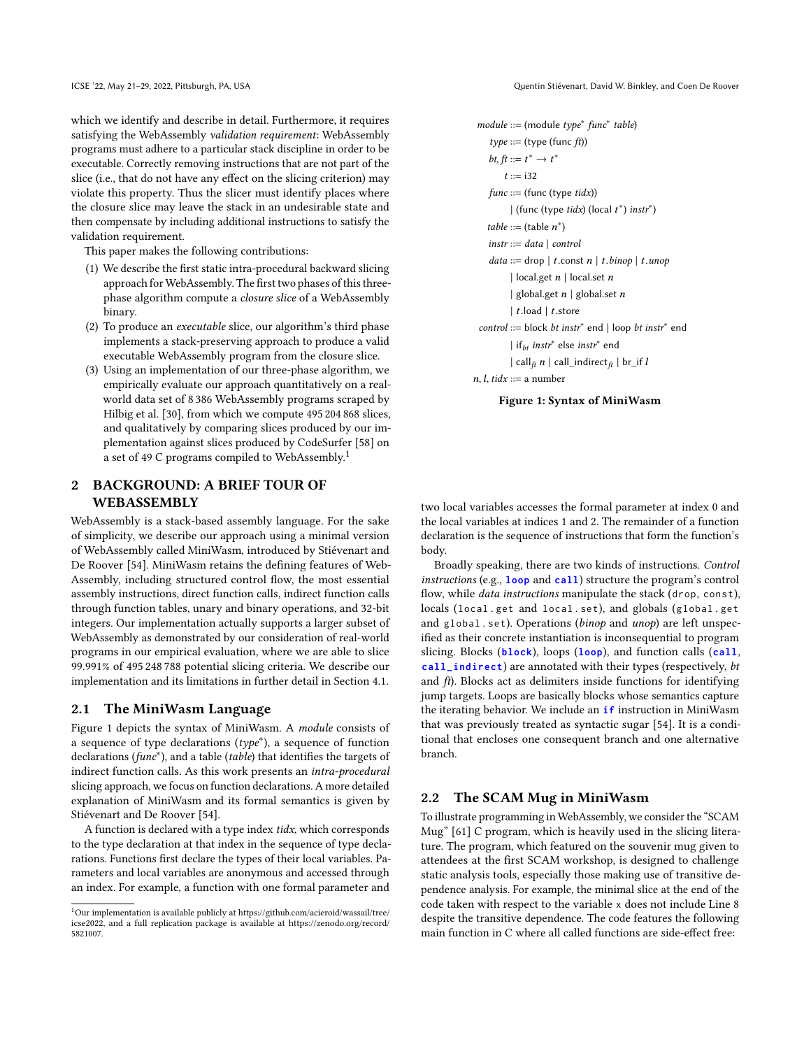which we identify and describe in detail. Furthermore, it requires satisfying the WebAssembly validation requirement: WebAssembly programs must adhere to a particular stack discipline in order to be executable. Correctly removing instructions that are not part of the slice (i.e., that do not have any effect on the slicing criterion) may violate this property. Thus the slicer must identify places where the closure slice may leave the stack in an undesirable state and then compensate by including additional instructions to satisfy the validation requirement.

This paper makes the following contributions:

- (1) We describe the first static intra-procedural backward slicing approach for WebAssembly. The first two phases of this threephase algorithm compute a closure slice of a WebAssembly binary.
- (2) To produce an executable slice, our algorithm's third phase implements a stack-preserving approach to produce a valid executable WebAssembly program from the closure slice.
- (3) Using an implementation of our three-phase algorithm, we empirically evaluate our approach quantitatively on a realworld data set of 8 386 WebAssembly programs scraped by Hilbig et al. [\[30\]](#page-11-3), from which we compute 495 204 868 slices, and qualitatively by comparing slices produced by our implementation against slices produced by CodeSurfer [\[58\]](#page-11-19) on a set of 49 C programs compiled to WebAssembly.<sup>[1](#page-1-0)</sup>

# <span id="page-1-2"></span>2 BACKGROUND: A BRIEF TOUR OF **WEBASSEMBLY**

WebAssembly is a stack-based assembly language. For the sake of simplicity, we describe our approach using a minimal version of WebAssembly called MiniWasm, introduced by Stiévenart and De Roover [\[54\]](#page-11-20). MiniWasm retains the defining features of Web-Assembly, including structured control flow, the most essential assembly instructions, direct function calls, indirect function calls through function tables, unary and binary operations, and 32-bit integers. Our implementation actually supports a larger subset of WebAssembly as demonstrated by our consideration of real-world programs in our empirical evaluation, where we are able to slice 99.991% of 495 248 788 potential slicing criteria. We describe our implementation and its limitations in further detail in Section [4.1.](#page-6-0)

#### 2.1 The MiniWasm Language

Figure [1](#page-1-1) depicts the syntax of MiniWasm. A module consists of a sequence of type declarations  $(type^*)$ , a sequence of function declarations (func<sup>∗</sup>), and a table (table) that identifies the targets of indirect function calls. As this work presents an intra-procedural slicing approach, we focus on function declarations. A more detailed explanation of MiniWasm and its formal semantics is given by Stiévenart and De Roover [\[54\]](#page-11-20).

A function is declared with a type index tidx, which corresponds to the type declaration at that index in the sequence of type declarations. Functions first declare the types of their local variables. Parameters and local variables are anonymous and accessed through an index. For example, a function with one formal parameter and

ICSE '22, May 21–29, 2022, Pittsburgh, PA, USA Quentin Stiévenart, David W. Binkley, and Coen De Roover

```
module ::= (module type∗
func∗
table)
    type ::= (type (func ft))
     bt, ft ::= t^* \rightarrow t^*t ::= i32func ::= (func (type <i>tidx</i>))\mid (func (type tidx) (local t^*) instr<sup>*</sup>)
    table ::= (table n<sup>*</sup>)instr ::= data | controldata ::= drop | t{\rm .const}\; n | t{\rm .}binop | t{\rm .}unop| local.get n | local.set n| global.get n | global.set n| t.load | t.store
  control ::= block bt instr<sup>*</sup> end | loop bt instr<sup>*</sup> end
            | if<sub>bt</sub> instr<sup>*</sup> else instr<sup>*</sup> end
           | \text{call}_{\hat{t}} n | call_indirect_{\hat{t}} | br_if l
n, l, tidx ::= a number
```
Figure 1: Syntax of MiniWasm

two local variables accesses the formal parameter at index 0 and the local variables at indices 1 and 2. The remainder of a function declaration is the sequence of instructions that form the function's body.

Broadly speaking, there are two kinds of instructions. Control instructions (e.g., **loop** and **call**) structure the program's control flow, while *data instructions* manipulate the stack (drop, const), locals (local . get and local . set), and globals (global . get and global . set). Operations (binop and unop) are left unspecified as their concrete instantiation is inconsequential to program slicing. Blocks (**block**), loops (**loop**), and function calls (**call**, **call\_indirect**) are annotated with their types (respectively, bt and  $ft$ ). Blocks act as delimiters inside functions for identifying jump targets. Loops are basically blocks whose semantics capture the iterating behavior. We include an **if** instruction in MiniWasm that was previously treated as syntactic sugar [\[54\]](#page-11-20). It is a conditional that encloses one consequent branch and one alternative branch.

#### 2.2 The SCAM Mug in MiniWasm

To illustrate programming in WebAssembly, we consider the "SCAM Mug" [\[61\]](#page-11-21) C program, which is heavily used in the slicing literature. The program, which featured on the souvenir mug given to attendees at the first SCAM workshop, is designed to challenge static analysis tools, especially those making use of transitive dependence analysis. For example, the minimal slice at the end of the code taken with respect to the variable x does not include Line 8 despite the transitive dependence. The code features the following main function in C where all called functions are side-effect free:

<span id="page-1-0"></span> $^1$  Our implementation is available publicly at [https://github.com/acieroid/wassail/tree/](https://github.com/acieroid/wassail/tree/icse2022)  $\,$ [icse2022,](https://github.com/acieroid/wassail/tree/icse2022) and a full replication package is available at [https://zenodo.org/record/](https://zenodo.org/record/5821007) [5821007.](https://zenodo.org/record/5821007)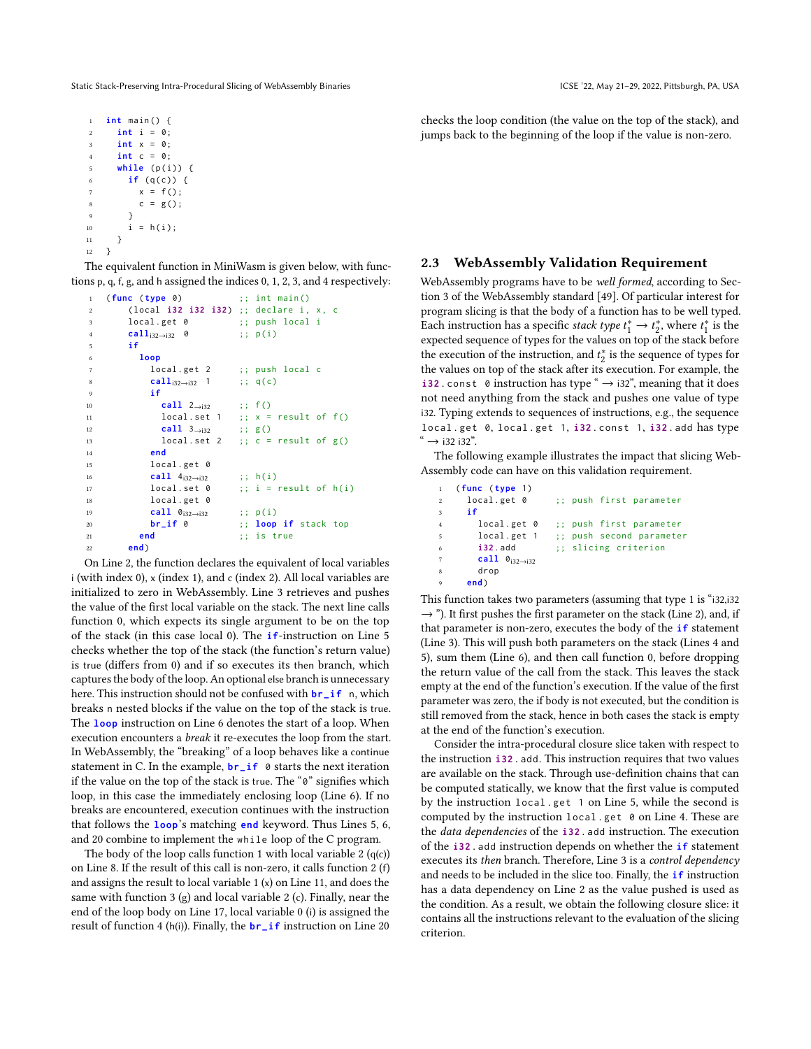```
1 int main () {
2 int i = 0;
3 int x = 0;
4 int c = 0;
5 while (p(i)) {
6 if (q(c)) {
       x = f();8 c = g();
9 }
10 i = h(i);11 }
12 }
```
The equivalent function in MiniWasm is given below, with functions p, q, f, g, and h assigned the indices 0, 1, 2, 3, and 4 respectively:

```
1 ( func ( type 0) ;; int main ()
2 ( local i32 i32 i32 ) ;; declare i , x , c
3 local . get 0 ;; push local i
4 calli32→i32 0 ;; p ( i )
5 if
6 loop
7 local.get 2 ;; push local c
8 call<sub>i32→i32</sub> 1 ;; q(c)
9 if
10 call 2→i32 ;; f()<br>11 local.set 1 :: x =
11 local.set 1 ;; x = result of f()
12 call 3→i32 ;; g()<br>13 local.set 2 ;; c =
13 local.set 2 ;; c = result of g()14 end
15 local . get 0
16 call 4_{i32\rightarrow i32} ;; h(i)<br>17 local.set 0 ;; i =
17 local.set 0 ;; i = result of h(i)18 local . get 0
19 call \theta_{i32\rightarrow i32} ;; p(i)
20 br_if 0 ;; loop if stack top
21 end ;; is true
22 end)
```
<span id="page-2-14"></span><span id="page-2-7"></span><span id="page-2-4"></span>On Line [2,](#page-2-0) the function declares the equivalent of local variables i (with index 0), x (index 1), and c (index 2). All local variables are initialized to zero in WebAssembly. Line [3](#page-2-1) retrieves and pushes the value of the first local variable on the stack. The next line calls function 0, which expects its single argument to be on the top of the stack (in this case local 0). The **if**-instruction on Line [5](#page-2-2) checks whether the top of the stack (the function's return value) is true (differs from 0) and if so executes its then branch, which captures the body of the loop. An optional else branch is unnecessary here. This instruction should not be confused with **br\_if** n, which breaks n nested blocks if the value on the top of the stack is true. The **loop** instruction on Line [6](#page-2-3) denotes the start of a loop. When execution encounters a break it re-executes the loop from the start. In WebAssembly, the "breaking" of a loop behaves like a continue statement in C. In the example, **br\_if** 0 starts the next iteration if the value on the top of the stack is true. The "0" signifies which loop, in this case the immediately enclosing loop (Line [6\)](#page-2-3). If no breaks are encountered, execution continues with the instruction that follows the **loop**'s matching **end** keyword. Thus Lines [5,](#page-2-2) [6,](#page-2-3) and [20](#page-2-4) combine to implement the while loop of the C program.

The body of the loop calls function 1 with local variable  $2 (q(c))$ on Line [8.](#page-2-5) If the result of this call is non-zero, it calls function 2 (f) and assigns the result to local variable 1 (x) on Line [11,](#page-2-6) and does the same with function 3 (g) and local variable 2 (c). Finally, near the end of the loop body on Line [17,](#page-2-7) local variable 0 (i) is assigned the result of function 4 (h(i)). Finally, the **br\_if** instruction on Line [20](#page-2-4)

checks the loop condition (the value on the top of the stack), and jumps back to the beginning of the loop if the value is non-zero.

# 2.3 WebAssembly Validation Requirement

WebAssembly programs have to be well formed, according to Section 3 of the WebAssembly standard [\[49\]](#page-11-2). Of particular interest for program slicing is that the body of a function has to be well typed. Each instruction has a specific *stack type*  $t_1^* \rightarrow t_2^*$ , where  $t_1^*$  is the expected sequence of types for the values on top of the stack before the execution of the instruction, and  $t_2^*$  is the sequence of types for the values on top of the stack after its execution. For example, the **i32** . const 0 instruction has type " $\rightarrow$  i32", meaning that it does not need anything from the stack and pushes one value of type i32. Typing extends to sequences of instructions, e.g., the sequence local . get 0, local . get 1, **i32** . const 1, **i32** . add has type  $\rightarrow$  i32 i32".

The following example illustrates the impact that slicing Web-Assembly code can have on this validation requirement.

```
1 ( func ( type 1)
                     ;; push first parameter
3 if
4 local . get 0 ;; push first parameter
5 local . get 1 ;; push second parameter
       i32.add ;; slicing criterion
       7 call 0i32→i32
       drop
     9 end)
```
This function takes two parameters (assuming that type 1 is "i32,i32  $\rightarrow$  "). It first pushes the first parameter on the stack (Line [2\)](#page-2-8), and, if that parameter is non-zero, executes the body of the **if** statement (Line [3\)](#page-2-9). This will push both parameters on the stack (Lines [4](#page-2-10) and [5\)](#page-2-11), sum them (Line [6\)](#page-2-12), and then call function 0, before dropping the return value of the call from the stack. This leaves the stack empty at the end of the function's execution. If the value of the first parameter was zero, the if body is not executed, but the condition is still removed from the stack, hence in both cases the stack is empty at the end of the function's execution.

Consider the intra-procedural closure slice taken with respect to the instruction **i32** . add. This instruction requires that two values are available on the stack. Through use-definition chains that can be computed statically, we know that the first value is computed by the instruction local . get 1 on Line [5,](#page-2-11) while the second is computed by the instruction local .get 0 on Line [4.](#page-2-10) These are the data dependencies of the **i32** . add instruction. The execution of the **i32** . add instruction depends on whether the **if** statement executes its then branch. Therefore, Line [3](#page-2-9) is a control dependency and needs to be included in the slice too. Finally, the **if** instruction has a data dependency on Line [2](#page-2-8) as the value pushed is used as the condition. As a result, we obtain the following closure slice: it contains all the instructions relevant to the evaluation of the slicing criterion.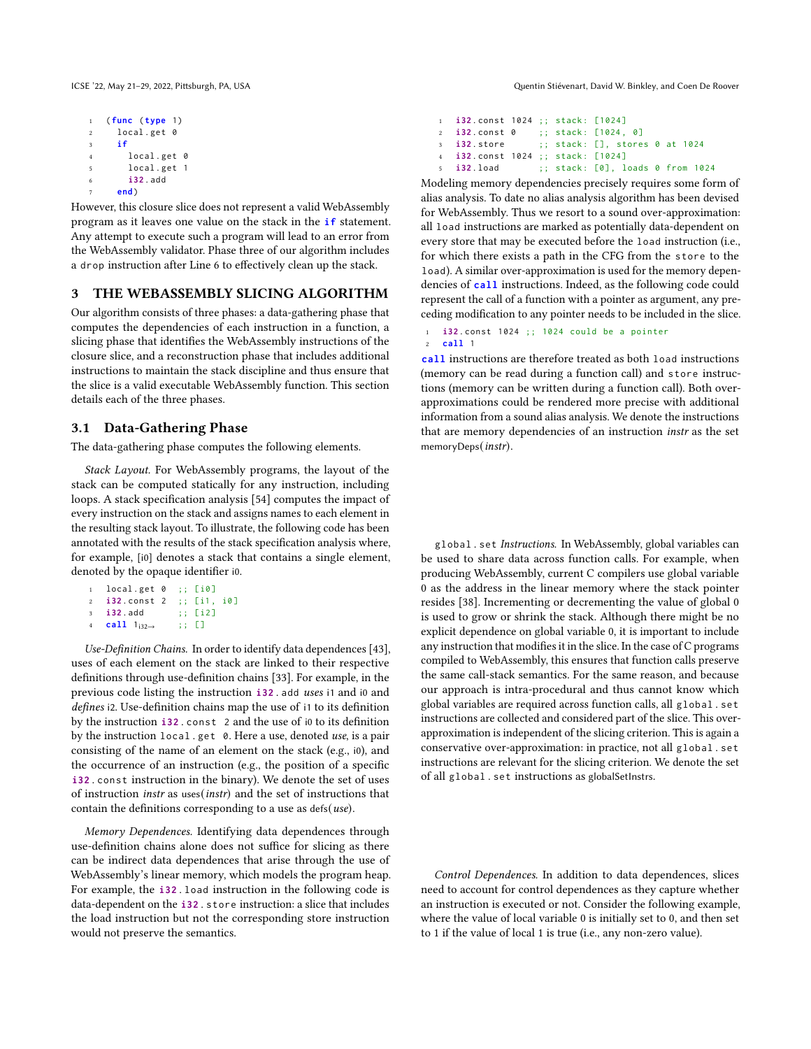```
1 ( func ( type 1)
2 local . get 0
     3 if
       local.get 0
5 local . get 1
6 i32. add
     7 end )
```
<span id="page-3-0"></span>However, this closure slice does not represent a valid WebAssembly program as it leaves one value on the stack in the **if** statement. Any attempt to execute such a program will lead to an error from the WebAssembly validator. Phase three of our algorithm includes a drop instruction after Line [6](#page-3-0) to effectively clean up the stack.

#### 3 THE WEBASSEMBLY SLICING ALGORITHM

Our algorithm consists of three phases: a data-gathering phase that computes the dependencies of each instruction in a function, a slicing phase that identifies the WebAssembly instructions of the closure slice, and a reconstruction phase that includes additional instructions to maintain the stack discipline and thus ensure that the slice is a valid executable WebAssembly function. This section details each of the three phases.

## <span id="page-3-1"></span>3.1 Data-Gathering Phase

The data-gathering phase computes the following elements.

Stack Layout. For WebAssembly programs, the layout of the stack can be computed statically for any instruction, including loops. A stack specification analysis [\[54\]](#page-11-20) computes the impact of every instruction on the stack and assigns names to each element in the resulting stack layout. To illustrate, the following code has been annotated with the results of the stack specification analysis where, for example, [i0] denotes a stack that contains a single element, denoted by the opaque identifier i0.

```
1 local . get 0 ;; [ i0 ]
2 i32 . const 2 ;; [ i1 , i0 ]
3 i32 . add ;; [ i2 ]
4 call 1i32→ ;; []
```
Use-Definition Chains. In order to identify data dependences [\[43\]](#page-11-22), uses of each element on the stack are linked to their respective definitions through use-definition chains [\[33\]](#page-11-23). For example, in the previous code listing the instruction **i32** . add uses i1 and i0 and defines i2. Use-definition chains map the use of i1 to its definition by the instruction **i32** . const 2 and the use of i0 to its definition by the instruction local . get 0. Here a use, denoted use, is a pair consisting of the name of an element on the stack (e.g., i0), and the occurrence of an instruction (e.g., the position of a specific **i32** . const instruction in the binary). We denote the set of uses of instruction instr as uses(instr) and the set of instructions that contain the definitions corresponding to a use as  $\text{defs}(use)$ .

Memory Dependences. Identifying data dependences through use-definition chains alone does not suffice for slicing as there can be indirect data dependences that arise through the use of WebAssembly's linear memory, which models the program heap. For example, the **i32** . load instruction in the following code is data-dependent on the **i32** . store instruction: a slice that includes the load instruction but not the corresponding store instruction would not preserve the semantics.

ICSE '22, May 21–29, 2022, Pittsburgh, PA, USA Quentin Stiévenart, David W. Binkley, and Coen De Roover

| 1 <b>i32.const</b> 1024 :: stack: [1024] |  |                                  |  |
|------------------------------------------|--|----------------------------------|--|
| 2 <b>i32</b> .const 0                    |  | :: stack: [1024, 0]              |  |
| $3$ $132$ . store                        |  | $:$ stack: [], stores 0 at 1024  |  |
| 4 <b>i32.const</b> 1024 :: stack: [1024] |  |                                  |  |
| $5$ $\overline{132}$ load                |  | :: stack: [0], loads 0 from 1024 |  |

Modeling memory dependencies precisely requires some form of alias analysis. To date no alias analysis algorithm has been devised for WebAssembly. Thus we resort to a sound over-approximation: all load instructions are marked as potentially data-dependent on every store that may be executed before the load instruction (i.e., for which there exists a path in the CFG from the store to the load). A similar over-approximation is used for the memory dependencies of **call** instructions. Indeed, as the following code could represent the call of a function with a pointer as argument, any preceding modification to any pointer needs to be included in the slice.

```
1 i32 . const 1024 ;; 1024 could be a pointer
```

```
2 call 1
```
**call** instructions are therefore treated as both load instructions (memory can be read during a function call) and store instructions (memory can be written during a function call). Both overapproximations could be rendered more precise with additional information from a sound alias analysis. We denote the instructions that are memory dependencies of an instruction instr as the set memoryDeps(instr).

global. set Instructions. In WebAssembly, global variables can be used to share data across function calls. For example, when producing WebAssembly, current C compilers use global variable 0 as the address in the linear memory where the stack pointer resides [\[38\]](#page-11-24). Incrementing or decrementing the value of global 0 is used to grow or shrink the stack. Although there might be no explicit dependence on global variable 0, it is important to include any instruction that modifies it in the slice. In the case of C programs compiled to WebAssembly, this ensures that function calls preserve the same call-stack semantics. For the same reason, and because our approach is intra-procedural and thus cannot know which global variables are required across function calls, all global . set instructions are collected and considered part of the slice. This overapproximation is independent of the slicing criterion. This is again a conservative over-approximation: in practice, not all global . set instructions are relevant for the slicing criterion. We denote the set of all global . set instructions as globalSetInstrs.

Control Dependences. In addition to data dependences, slices need to account for control dependences as they capture whether an instruction is executed or not. Consider the following example, where the value of local variable 0 is initially set to 0, and then set to 1 if the value of local 1 is true (i.e., any non-zero value).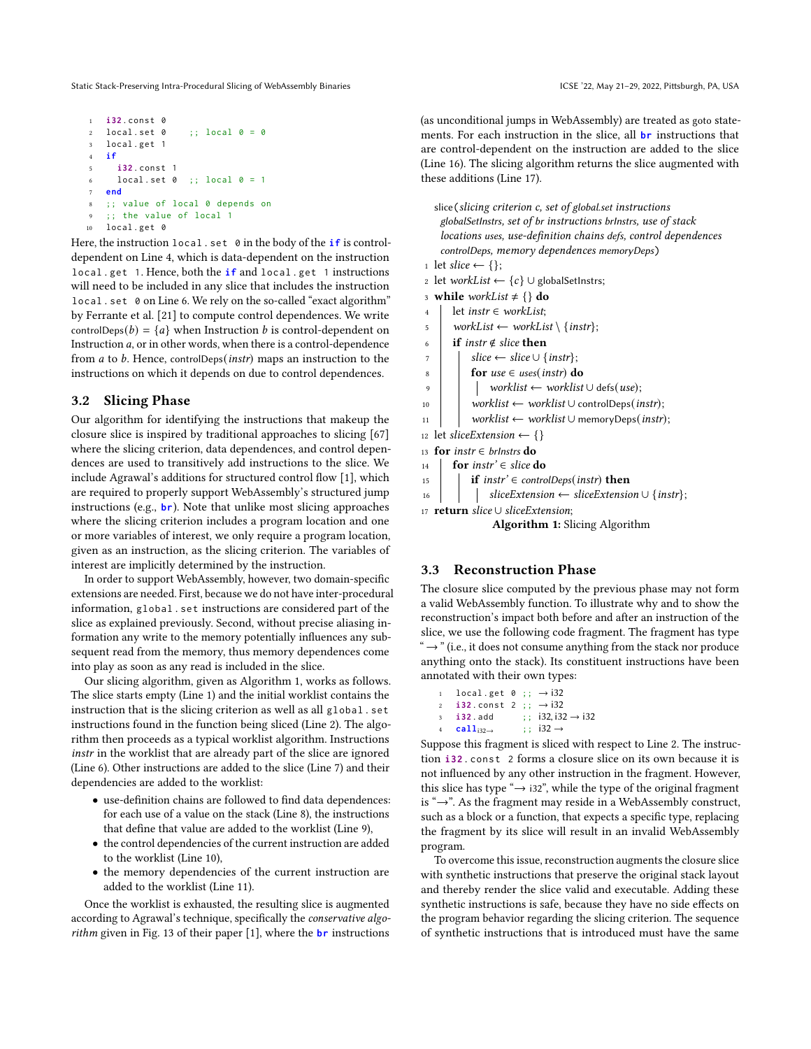```
1 i32 . const 0
2 local.set 0 ;; local 0 = 03 local . get 1
4 if
5 i32 . const 1
     local.set 0 ;; local 0 = 17 end
8 ;; value of local 0 depends on
   :: the value of local 1
10 local . get 0
```
Here, the instruction local . set 0 in the body of the **if** is controldependent on Line 4, which is data-dependent on the instruction local . get 1. Hence, both the **if** and local . get 1 instructions will need to be included in any slice that includes the instruction local . set 0 on Line [6.](#page-4-0) We rely on the so-called "exact algorithm" by Ferrante et al. [\[21\]](#page-10-14) to compute control dependences. We write controlDeps(b) =  ${a}$  when Instruction b is control-dependent on Instruction  $a$ , or in other words, when there is a control-dependence from  $a$  to  $b$ . Hence, controlDeps(*instr*) maps an instruction to the instructions on which it depends on due to control dependences.

## 3.2 Slicing Phase

Our algorithm for identifying the instructions that makeup the closure slice is inspired by traditional approaches to slicing [\[67\]](#page-11-9) where the slicing criterion, data dependences, and control dependences are used to transitively add instructions to the slice. We include Agrawal's additions for structured control flow [\[1\]](#page-10-15), which are required to properly support WebAssembly's structured jump instructions (e.g., **br**). Note that unlike most slicing approaches where the slicing criterion includes a program location and one or more variables of interest, we only require a program location, given as an instruction, as the slicing criterion. The variables of interest are implicitly determined by the instruction.

In order to support WebAssembly, however, two domain-specific extensions are needed. First, because we do not have inter-procedural information, global . set instructions are considered part of the slice as explained previously. Second, without precise aliasing information any write to the memory potentially influences any subsequent read from the memory, thus memory dependences come into play as soon as any read is included in the slice.

Our slicing algorithm, given as Algorithm [1,](#page-4-1) works as follows. The slice starts empty (Line [1\)](#page-4-2) and the initial worklist contains the instruction that is the slicing criterion as well as all global . set instructions found in the function being sliced (Line [2\)](#page-4-3). The algorithm then proceeds as a typical worklist algorithm. Instructions instr in the worklist that are already part of the slice are ignored (Line [6\)](#page-4-4). Other instructions are added to the slice (Line [7\)](#page-4-5) and their dependencies are added to the worklist:

- use-definition chains are followed to find data dependences: for each use of a value on the stack (Line [8\)](#page-4-6), the instructions that define that value are added to the worklist (Line [9\)](#page-4-7),
- the control dependencies of the current instruction are added to the worklist (Line [10\)](#page-4-8),
- the memory dependencies of the current instruction are added to the worklist (Line [11\)](#page-4-9).

Once the worklist is exhausted, the resulting slice is augmented according to Agrawal's technique, specifically the conservative algorithm given in Fig. 13 of their paper [\[1\]](#page-10-15), where the **br** instructions

(as unconditional jumps in WebAssembly) are treated as goto statements. For each instruction in the slice, all **br** instructions that are control-dependent on the instruction are added to the slice (Line [16\)](#page-4-10). The slicing algorithm returns the slice augmented with these additions (Line [17\)](#page-4-11).

<span id="page-4-7"></span><span id="page-4-6"></span><span id="page-4-5"></span><span id="page-4-4"></span><span id="page-4-3"></span><span id="page-4-2"></span>

|                | slice (slicing criterion c, set of global set instructions      |  |  |  |  |
|----------------|-----------------------------------------------------------------|--|--|--|--|
|                | globalSetInstrs, set of br instructions brinstrs, use of stack  |  |  |  |  |
|                | locations uses, use-definition chains defs, control dependences |  |  |  |  |
|                | controlDeps, memory dependences memoryDeps)                     |  |  |  |  |
|                | 1 let slice $\leftarrow \{\};$                                  |  |  |  |  |
|                | 2 let workList $\leftarrow \{c\} \cup$ globalSetInstrs;         |  |  |  |  |
| $\overline{3}$ | while workList $\neq \{\}$ do                                   |  |  |  |  |
| $\overline{4}$ | let <i>instr</i> $\in$ <i>workList</i> ;                        |  |  |  |  |
| 5              | workList $\leftarrow$ workList \ {instr};                       |  |  |  |  |
| 6              | <b>if</b> instr $\notin$ slice <b>then</b>                      |  |  |  |  |
| $\overline{7}$ | slice $\leftarrow$ slice $\cup$ {instr};                        |  |  |  |  |
| 8              | for $use \in uses(instr)$ do                                    |  |  |  |  |
| 9              | worklist $\leftarrow$ worklist $\cup$ defs(use);                |  |  |  |  |
| 10             | $worklist \leftarrow worklist \cup controlDeps(int);$           |  |  |  |  |
| 11             | $worklist \leftarrow worklist \cup memoryDeps(int)$ ;           |  |  |  |  |
|                | 12 let slice Extension $\leftarrow \{\}$                        |  |  |  |  |
| 13             | for <i>instr</i> $\in$ <i>brinstrs</i> do                       |  |  |  |  |
| 14             | for instr' $\in$ slice do                                       |  |  |  |  |
| 15             | <b>if</b> instr' $\in$ controlDeps(instr) <b>then</b>           |  |  |  |  |
| 16             | sliceExtension $\leftarrow$ sliceExtension $\cup$ {instr};      |  |  |  |  |
|                | 17 <b>return</b> slice $\cup$ slice Extension;                  |  |  |  |  |
|                | <b>Algorithm 1:</b> Slicing Algorithm                           |  |  |  |  |

#### <span id="page-4-11"></span><span id="page-4-10"></span><span id="page-4-9"></span><span id="page-4-8"></span><span id="page-4-1"></span>3.3 Reconstruction Phase

The closure slice computed by the previous phase may not form a valid WebAssembly function. To illustrate why and to show the reconstruction's impact both before and after an instruction of the slice, we use the following code fragment. The fragment has type " $\rightarrow$ " (i.e., it does not consume anything from the stack nor produce anything onto the stack). Its constituent instructions have been annotated with their own types:

```
local.get 0 ; ; \rightarrow i322 \text{ i } 32 \text{ . const } 2 \text{ ; } \rightarrow 132i32 . add ;; i32, i32 \rightarrow i32\text{call}_{i32\rightarrow} ;; i32 \rightarrow
```
Suppose this fragment is sliced with respect to Line [2.](#page-4-12) The instruction **i32** . const 2 forms a closure slice on its own because it is not influenced by any other instruction in the fragment. However, this slice has type " $\rightarrow$  i32", while the type of the original fragment is "→". As the fragment may reside in a WebAssembly construct, such as a block or a function, that expects a specific type, replacing the fragment by its slice will result in an invalid WebAssembly program.

To overcome this issue, reconstruction augments the closure slice with synthetic instructions that preserve the original stack layout and thereby render the slice valid and executable. Adding these synthetic instructions is safe, because they have no side effects on the program behavior regarding the slicing criterion. The sequence of synthetic instructions that is introduced must have the same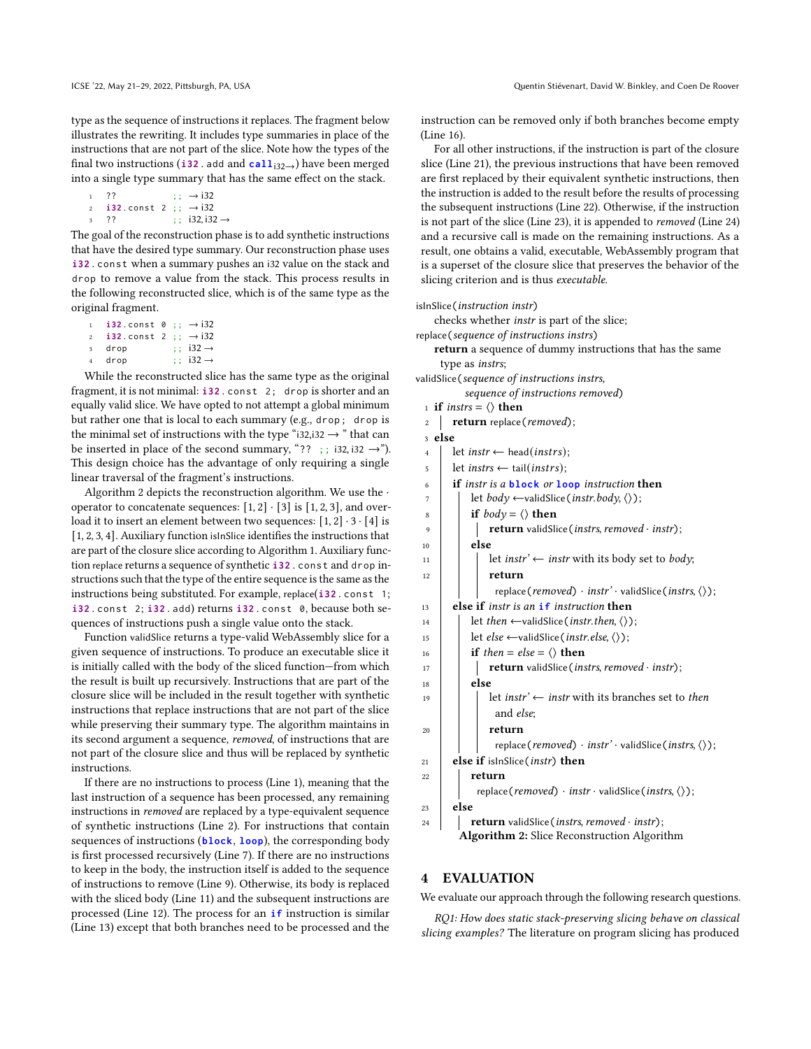type as the sequence of instructions it replaces. The fragment below illustrates the rewriting. It includes type summaries in place of the instructions that are not part of the slice. Note how the types of the final two instructions (**i32** . add and **call**<sub>132→</sub>) have been merged into a single type summary that has the same effect on the stack.

```
1 ?? ; \rightarrow i32
2 \text{ i}32 \text{ .} \text{const } 2 \text{ ; } \rightarrow \text{i}323 ?? ;; i32, i32 →
```
The goal of the reconstruction phase is to add synthetic instructions that have the desired type summary. Our reconstruction phase uses **i32** . const when a summary pushes an i32 value on the stack and drop to remove a value from the stack. This process results in the following reconstructed slice, which is of the same type as the original fragment.

- $\mathbf{i}$  **i32** . const  $\theta$  ;;  $\rightarrow$  i32  $2 \t i32$  . const 2 ;;  $\rightarrow$  i32
- drop  $; i32 \rightarrow$
- drop  $; i32 \rightarrow$

While the reconstructed slice has the same type as the original fragment, it is not minimal: **i32** . const 2; drop is shorter and an equally valid slice. We have opted to not attempt a global minimum but rather one that is local to each summary (e.g., drop ; drop is the minimal set of instructions with the type "i32,i32  $\rightarrow$  " that can be inserted in place of the second summary, "?? ;; i32, i32  $\rightarrow$ "). This design choice has the advantage of only requiring a single linear traversal of the fragment's instructions.

Algorithm [2](#page-5-0) depicts the reconstruction algorithm. We use the · operator to concatenate sequences:  $[1, 2] \cdot [3]$  is  $[1, 2, 3]$ , and overload it to insert an element between two sequences:  $[1, 2] \cdot 3 \cdot [4]$  is [1, 2, 3, 4]. Auxiliary function isInSlice identifies the instructions that are part of the closure slice according to Algorithm [1.](#page-4-1) Auxiliary function replace returns a sequence of synthetic **i32** . const and drop instructions such that the type of the entire sequence is the same as the instructions being substituted. For example, replace(**i32** . const 1; **i32** . const 2; **i32** . add) returns **i32** . const 0, because both sequences of instructions push a single value onto the stack.

Function validSlice returns a type-valid WebAssembly slice for a given sequence of instructions. To produce an executable slice it is initially called with the body of the sliced function—from which the result is built up recursively. Instructions that are part of the closure slice will be included in the result together with synthetic instructions that replace instructions that are not part of the slice while preserving their summary type. The algorithm maintains in its second argument a sequence, removed, of instructions that are not part of the closure slice and thus will be replaced by synthetic instructions.

If there are no instructions to process (Line 1), meaning that the last instruction of a sequence has been processed, any remaining instructions in removed are replaced by a type-equivalent sequence of synthetic instructions (Line [2\)](#page-5-1). For instructions that contain sequences of instructions (**block**, **loop**), the corresponding body is first processed recursively (Line [7\)](#page-5-2). If there are no instructions to keep in the body, the instruction itself is added to the sequence of instructions to remove (Line [9\)](#page-5-3). Otherwise, its body is replaced with the sliced body (Line [11\)](#page-5-4) and the subsequent instructions are processed (Line [12\)](#page-5-5). The process for an **if** instruction is similar (Line [13\)](#page-5-6) except that both branches need to be processed and the

instruction can be removed only if both branches become empty (Line [16\)](#page-5-7).

For all other instructions, if the instruction is part of the closure slice (Line [21\)](#page-5-8), the previous instructions that have been removed are first replaced by their equivalent synthetic instructions, then the instruction is added to the result before the results of processing the subsequent instructions (Line [22\)](#page-5-9). Otherwise, if the instruction is not part of the slice (Line [23\)](#page-5-10), it is appended to removed (Line [24\)](#page-5-11) and a recursive call is made on the remaining instructions. As a result, one obtains a valid, executable, WebAssembly program that is a superset of the closure slice that preserves the behavior of the slicing criterion and is thus executable.

#### isInSlice(instruction instr)

checks whether instr is part of the slice;

replace(sequence of instructions instrs)

return a sequence of dummy instructions that has the same type as instrs;

validSlice(sequence of instructions instrs,

- sequence of instructions removed)
- 1 if instrs =  $\langle \rangle$  then

<span id="page-5-1"></span>

|  | <b>return</b> replace ( <i>removed</i> ); |  |
|--|-------------------------------------------|--|
|  |                                           |  |

<span id="page-5-7"></span><span id="page-5-6"></span><span id="page-5-5"></span><span id="page-5-4"></span><span id="page-5-3"></span><span id="page-5-2"></span>

| z              | $reium$ replace $(remove)$ ;                                                                              |
|----------------|-----------------------------------------------------------------------------------------------------------|
| 3 else         |                                                                                                           |
| $\overline{4}$ | let <i>instr</i> $\leftarrow$ head( <i>instrs</i> );                                                      |
| 5              | let <i>instrs</i> $\leftarrow$ tail( <i>instrs</i> );                                                     |
|                | <b>if</b> instr is a <b>block</b> or <b>loop</b> instruction <b>then</b>                                  |
|                | let <i>body</i> $\leftarrow$ validSlice( <i>instr.body</i> , $\langle \rangle$ );                         |
|                | if $body = \langle \rangle$ then                                                                          |
|                | <b>return</b> validSlice ( <i>instrs, removed</i> $\cdot$ <i>instr</i> );                                 |
|                | else                                                                                                      |
|                | let <i>instr</i> ' $\leftarrow$ <i>instr</i> with its body set to <i>body</i> ;                           |
|                | return                                                                                                    |
|                | replace(removed) $\cdot$ instr' $\cdot$ validSlice(instrs, $\langle \rangle$ );                           |
|                | else if <i>instr is an</i> if <i>instruction</i> then                                                     |
|                | let <i>then</i> $\leftarrow$ valid Slice ( <i>instr. then,</i> $\langle \rangle$ );                       |
|                | let <i>else</i> $\leftarrow$ validSlice( <i>instr.else</i> , $\langle \rangle$ );                         |
|                | <b>if</b> then = else = $\langle \rangle$ then                                                            |
|                | <b>return</b> validSlice ( <i>instrs, removed</i> $\cdot$ <i>instr</i> );                                 |
|                | else                                                                                                      |
|                | let <i>instr'</i> $\leftarrow$ <i>instr</i> with its branches set to <i>then</i>                          |
|                | and else;                                                                                                 |
|                | return                                                                                                    |
|                | replace (removed) $\cdot$ instr' $\cdot$ validSlice (instrs, $\langle \rangle$ );                         |
|                | else if islnSlice ( <i>instr</i> ) then                                                                   |
|                | return                                                                                                    |
|                | replace ( <i>removed</i> ) $\cdot$ <i>instr</i> $\cdot$ validSlice ( <i>instrs</i> , $\langle \rangle$ ); |
|                | else                                                                                                      |
|                | <b>return</b> validSlice ( <i>instrs, removed</i> $\cdot$ <i>instr</i> );                                 |
|                | <b>Algorithm 2:</b> Slice Reconstruction Algorithm                                                        |
|                |                                                                                                           |
|                |                                                                                                           |

#### <span id="page-5-11"></span><span id="page-5-10"></span><span id="page-5-9"></span><span id="page-5-8"></span><span id="page-5-0"></span>4 EVALUATION

We evaluate our approach through the following research questions.

RQ1: How does static stack-preserving slicing behave on classical slicing examples? The literature on program slicing has produced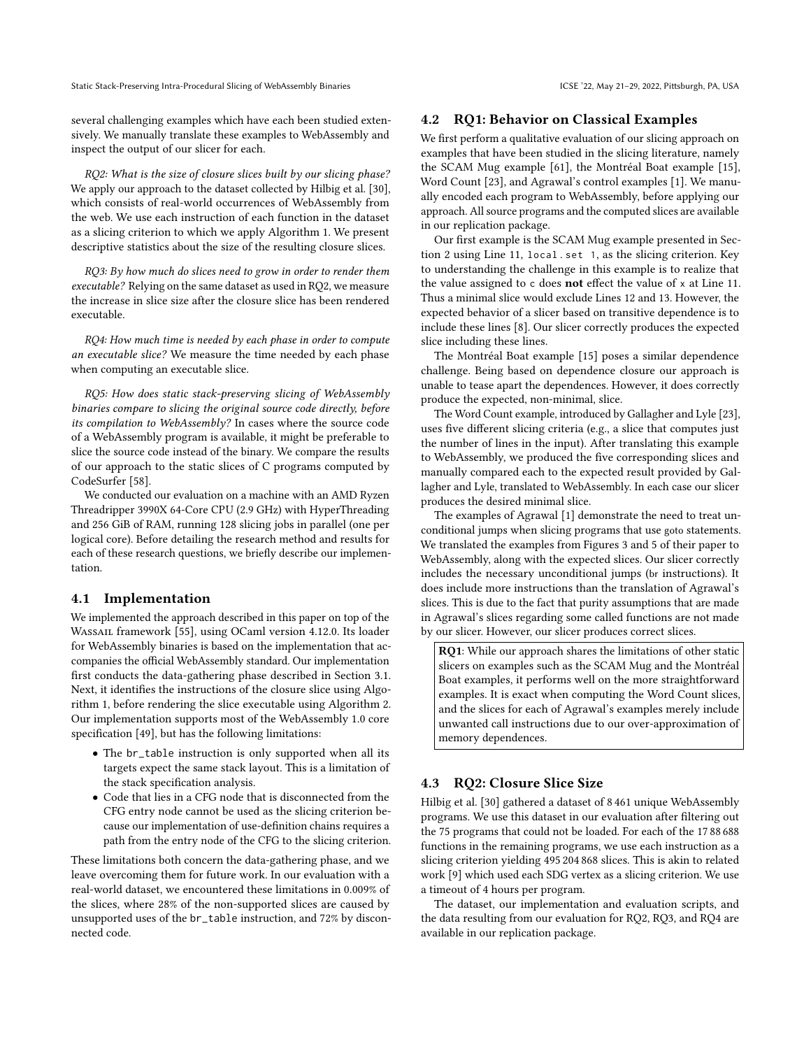several challenging examples which have each been studied extensively. We manually translate these examples to WebAssembly and inspect the output of our slicer for each.

RQ2: What is the size of closure slices built by our slicing phase? We apply our approach to the dataset collected by Hilbig et al. [\[30\]](#page-11-3), which consists of real-world occurrences of WebAssembly from the web. We use each instruction of each function in the dataset as a slicing criterion to which we apply Algorithm [1.](#page-4-1) We present descriptive statistics about the size of the resulting closure slices.

RQ3: By how much do slices need to grow in order to render them executable? Relying on the same dataset as used in RQ2, we measure the increase in slice size after the closure slice has been rendered executable.

RQ4: How much time is needed by each phase in order to compute an executable slice? We measure the time needed by each phase when computing an executable slice.

RQ5: How does static stack-preserving slicing of WebAssembly binaries compare to slicing the original source code directly, before its compilation to WebAssembly? In cases where the source code of a WebAssembly program is available, it might be preferable to slice the source code instead of the binary. We compare the results of our approach to the static slices of C programs computed by CodeSurfer [\[58\]](#page-11-19).

We conducted our evaluation on a machine with an AMD Ryzen Threadripper 3990X 64-Core CPU (2.9 GHz) with HyperThreading and 256 GiB of RAM, running 128 slicing jobs in parallel (one per logical core). Before detailing the research method and results for each of these research questions, we briefly describe our implementation.

#### <span id="page-6-0"></span>4.1 Implementation

We implemented the approach described in this paper on top of the WASSAIL framework [\[55\]](#page-11-25), using OCaml version 4.12.0. Its loader for WebAssembly binaries is based on the implementation that accompanies the official WebAssembly standard. Our implementation first conducts the data-gathering phase described in Section [3.1.](#page-3-1) Next, it identifies the instructions of the closure slice using Algorithm [1,](#page-4-1) before rendering the slice executable using Algorithm [2.](#page-5-0) Our implementation supports most of the WebAssembly 1.0 core specification [\[49\]](#page-11-2), but has the following limitations:

- The br\_table instruction is only supported when all its targets expect the same stack layout. This is a limitation of the stack specification analysis.
- Code that lies in a CFG node that is disconnected from the CFG entry node cannot be used as the slicing criterion because our implementation of use-definition chains requires a path from the entry node of the CFG to the slicing criterion.

These limitations both concern the data-gathering phase, and we leave overcoming them for future work. In our evaluation with a real-world dataset, we encountered these limitations in 0.009% of the slices, where 28% of the non-supported slices are caused by unsupported uses of the br\_table instruction, and 72% by disconnected code.

#### 4.2 RQ1: Behavior on Classical Examples

We first perform a qualitative evaluation of our slicing approach on examples that have been studied in the slicing literature, namely the SCAM Mug example [\[61\]](#page-11-21), the Montréal Boat example [\[15\]](#page-10-16), Word Count [\[23\]](#page-10-6), and Agrawal's control examples [\[1\]](#page-10-15). We manually encoded each program to WebAssembly, before applying our approach. All source programs and the computed slices are available in our replication package.

Our first example is the SCAM Mug example presented in Section [2](#page-1-2) using Line [11,](#page-2-6) local . set 1, as the slicing criterion. Key to understanding the challenge in this example is to realize that the value assigned to c does not effect the value of x at Line [11.](#page-2-6) Thus a minimal slice would exclude Lines [12](#page-2-13) and [13.](#page-2-14) However, the expected behavior of a slicer based on transitive dependence is to include these lines [\[8\]](#page-10-17). Our slicer correctly produces the expected slice including these lines.

The Montréal Boat example [\[15\]](#page-10-16) poses a similar dependence challenge. Being based on dependence closure our approach is unable to tease apart the dependences. However, it does correctly produce the expected, non-minimal, slice.

The Word Count example, introduced by Gallagher and Lyle [\[23\]](#page-10-6), uses five different slicing criteria (e.g., a slice that computes just the number of lines in the input). After translating this example to WebAssembly, we produced the five corresponding slices and manually compared each to the expected result provided by Gallagher and Lyle, translated to WebAssembly. In each case our slicer produces the desired minimal slice.

The examples of Agrawal [\[1\]](#page-10-15) demonstrate the need to treat unconditional jumps when slicing programs that use goto statements. We translated the examples from Figures 3 and 5 of their paper to WebAssembly, along with the expected slices. Our slicer correctly includes the necessary unconditional jumps (br instructions). It does include more instructions than the translation of Agrawal's slices. This is due to the fact that purity assumptions that are made in Agrawal's slices regarding some called functions are not made by our slicer. However, our slicer produces correct slices.

RQ1: While our approach shares the limitations of other static slicers on examples such as the SCAM Mug and the Montréal Boat examples, it performs well on the more straightforward examples. It is exact when computing the Word Count slices, and the slices for each of Agrawal's examples merely include unwanted call instructions due to our over-approximation of memory dependences.

# 4.3 RQ2: Closure Slice Size

Hilbig et al. [\[30\]](#page-11-3) gathered a dataset of 8 461 unique WebAssembly programs. We use this dataset in our evaluation after filtering out the 75 programs that could not be loaded. For each of the 17 88 688 functions in the remaining programs, we use each instruction as a slicing criterion yielding 495 204 868 slices. This is akin to related work [\[9\]](#page-10-18) which used each SDG vertex as a slicing criterion. We use a timeout of 4 hours per program.

The dataset, our implementation and evaluation scripts, and the data resulting from our evaluation for RQ2, RQ3, and RQ4 are available in our replication package.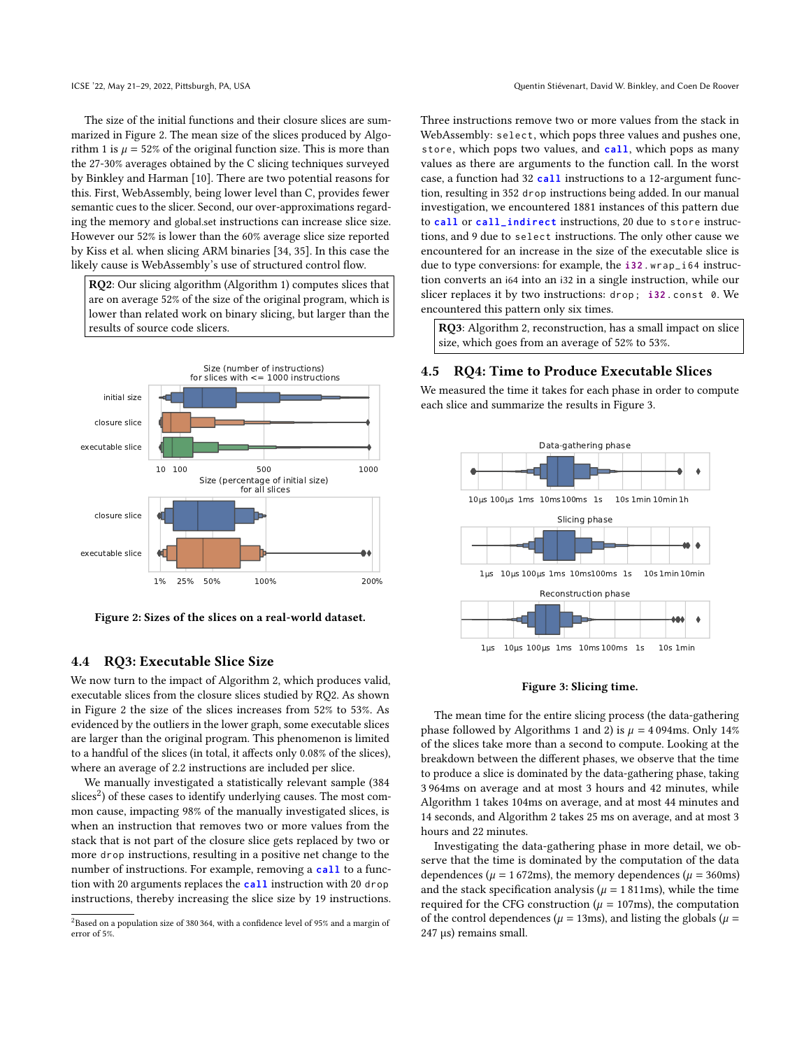The size of the initial functions and their closure slices are summarized in Figure [2.](#page-7-0) The mean size of the slices produced by Algo-rithm [1](#page-4-1) is  $\mu = 52\%$  of the original function size. This is more than the 27-30% averages obtained by the C slicing techniques surveyed by Binkley and Harman [\[10\]](#page-10-19). There are two potential reasons for this. First, WebAssembly, being lower level than C, provides fewer semantic cues to the slicer. Second, our over-approximations regarding the memory and global.set instructions can increase slice size. However our 52% is lower than the 60% average slice size reported by Kiss et al. when slicing ARM binaries [\[34,](#page-11-26) [35\]](#page-11-27). In this case the likely cause is WebAssembly's use of structured control flow.

RQ2: Our slicing algorithm (Algorithm [1\)](#page-4-1) computes slices that are on average 52% of the size of the original program, which is lower than related work on binary slicing, but larger than the results of source code slicers.

<span id="page-7-0"></span>

Figure 2: Sizes of the slices on a real-world dataset.

# 4.4 RQ3: Executable Slice Size

We now turn to the impact of Algorithm [2,](#page-5-0) which produces valid, executable slices from the closure slices studied by RQ2. As shown in Figure [2](#page-7-0) the size of the slices increases from 52% to 53%. As evidenced by the outliers in the lower graph, some executable slices are larger than the original program. This phenomenon is limited to a handful of the slices (in total, it affects only 0.08% of the slices), where an average of 2.2 instructions are included per slice.

We manually investigated a statistically relevant sample (384 slices<sup>[2](#page-7-1)</sup>) of these cases to identify underlying causes. The most common cause, impacting 98% of the manually investigated slices, is when an instruction that removes two or more values from the stack that is not part of the closure slice gets replaced by two or more drop instructions, resulting in a positive net change to the number of instructions. For example, removing a **call** to a function with 20 arguments replaces the **call** instruction with 20 drop instructions, thereby increasing the slice size by 19 instructions. Three instructions remove two or more values from the stack in WebAssembly: select, which pops three values and pushes one, store, which pops two values, and **call**, which pops as many values as there are arguments to the function call. In the worst case, a function had 32 **call** instructions to a 12-argument function, resulting in 352 drop instructions being added. In our manual investigation, we encountered 1881 instances of this pattern due to **call** or **call\_indirect** instructions, 20 due to store instructions, and 9 due to select instructions. The only other cause we encountered for an increase in the size of the executable slice is due to type conversions: for example, the **i32** . wrap\_i64 instruction converts an i64 into an i32 in a single instruction, while our slicer replaces it by two instructions: drop ; **i32** . const 0. We encountered this pattern only six times.

RQ3: Algorithm [2,](#page-5-0) reconstruction, has a small impact on slice size, which goes from an average of 52% to 53%.

# 4.5 RQ4: Time to Produce Executable Slices

We measured the time it takes for each phase in order to compute each slice and summarize the results in Figure [3.](#page-7-2)

<span id="page-7-2"></span>

#### Figure 3: Slicing time.

The mean time for the entire slicing process (the data-gathering phase followed by Algorithms [1](#page-4-1) and [2\)](#page-5-0) is  $\mu = 4094$ ms. Only 14% of the slices take more than a second to compute. Looking at the breakdown between the different phases, we observe that the time to produce a slice is dominated by the data-gathering phase, taking 3 964ms on average and at most 3 hours and 42 minutes, while Algorithm [1](#page-4-1) takes 104ms on average, and at most 44 minutes and 14 seconds, and Algorithm [2](#page-5-0) takes 25 ms on average, and at most 3 hours and 22 minutes.

Investigating the data-gathering phase in more detail, we observe that the time is dominated by the computation of the data dependences ( $\mu$  = 1 672ms), the memory dependences ( $\mu$  = 360ms) and the stack specification analysis ( $\mu$  = 1811ms), while the time required for the CFG construction ( $\mu = 107$ ms), the computation of the control dependences ( $\mu$  = 13ms), and listing the globals ( $\mu$  = 247 µs) remains small.

<span id="page-7-1"></span> ${}^{2}$ Based on a population size of 380 364, with a confidence level of 95% and a margin of error of 5%.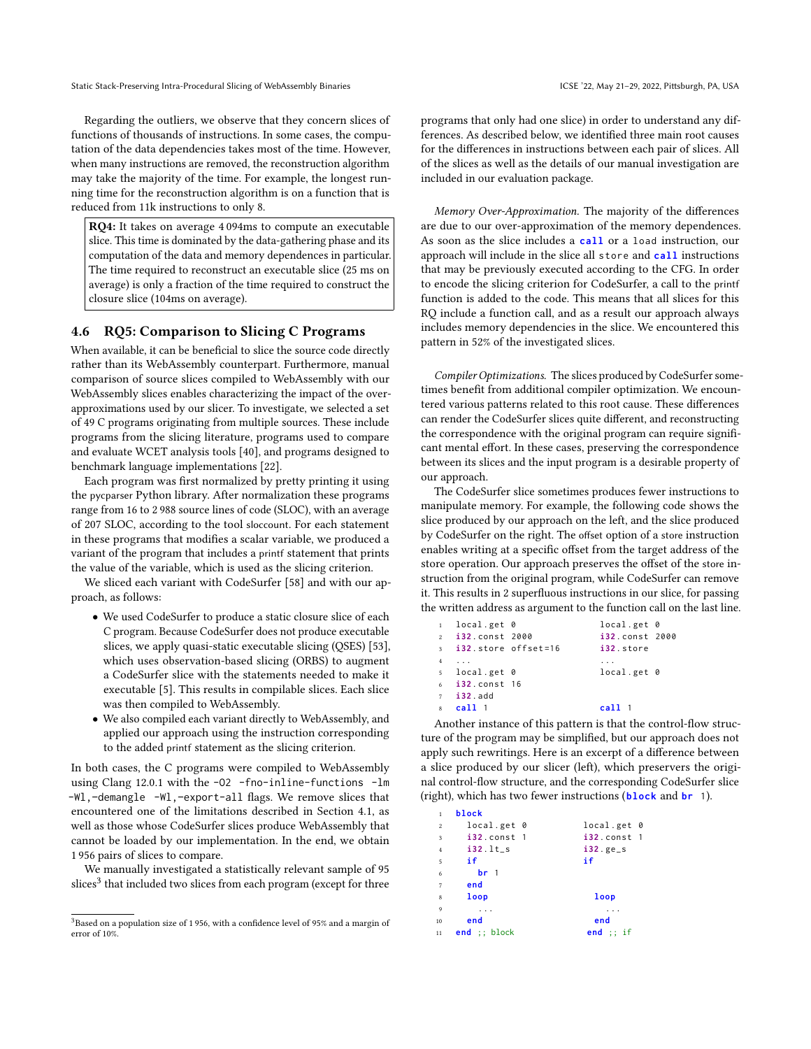Regarding the outliers, we observe that they concern slices of functions of thousands of instructions. In some cases, the computation of the data dependencies takes most of the time. However, when many instructions are removed, the reconstruction algorithm may take the majority of the time. For example, the longest running time for the reconstruction algorithm is on a function that is reduced from 11k instructions to only 8.

RQ4: It takes on average 4 094ms to compute an executable slice. This time is dominated by the data-gathering phase and its computation of the data and memory dependences in particular. The time required to reconstruct an executable slice (25 ms on average) is only a fraction of the time required to construct the closure slice (104ms on average).

## 4.6 RQ5: Comparison to Slicing C Programs

When available, it can be beneficial to slice the source code directly rather than its WebAssembly counterpart. Furthermore, manual comparison of source slices compiled to WebAssembly with our WebAssembly slices enables characterizing the impact of the overapproximations used by our slicer. To investigate, we selected a set of 49 C programs originating from multiple sources. These include programs from the slicing literature, programs used to compare and evaluate WCET analysis tools [\[40\]](#page-11-28), and programs designed to benchmark language implementations [\[22\]](#page-10-20).

Each program was first normalized by pretty printing it using the pycparser Python library. After normalization these programs range from 16 to 2 988 source lines of code (SLOC), with an average of 207 SLOC, according to the tool sloccount. For each statement in these programs that modifies a scalar variable, we produced a variant of the program that includes a printf statement that prints the value of the variable, which is used as the slicing criterion.

We sliced each variant with CodeSurfer [\[58\]](#page-11-19) and with our approach, as follows:

- We used CodeSurfer to produce a static closure slice of each C program. Because CodeSurfer does not produce executable slices, we apply quasi-static executable slicing (QSES) [\[53\]](#page-11-29), which uses observation-based slicing (ORBS) to augment a CodeSurfer slice with the statements needed to make it executable [\[5\]](#page-10-21). This results in compilable slices. Each slice was then compiled to WebAssembly.
- We also compiled each variant directly to WebAssembly, and applied our approach using the instruction corresponding to the added printf statement as the slicing criterion.

In both cases, the C programs were compiled to WebAssembly using Clang 12.0.1 with the -O2 -fno-inline-functions -lm -Wl,–demangle -Wl,–export-all flags. We remove slices that encountered one of the limitations described in Section [4.1,](#page-6-0) as well as those whose CodeSurfer slices produce WebAssembly that cannot be loaded by our implementation. In the end, we obtain 1 956 pairs of slices to compare.

We manually investigated a statistically relevant sample of 95  $\frac{1}{\text{s}}$  slices<sup>[3](#page-8-0)</sup> that included two slices from each program (except for three programs that only had one slice) in order to understand any differences. As described below, we identified three main root causes for the differences in instructions between each pair of slices. All of the slices as well as the details of our manual investigation are included in our evaluation package.

Memory Over-Approximation. The majority of the differences are due to our over-approximation of the memory dependences. As soon as the slice includes a **call** or a load instruction, our approach will include in the slice all store and **call** instructions that may be previously executed according to the CFG. In order to encode the slicing criterion for CodeSurfer, a call to the printf function is added to the code. This means that all slices for this RQ include a function call, and as a result our approach always includes memory dependencies in the slice. We encountered this pattern in 52% of the investigated slices.

Compiler Optimizations. The slices produced by CodeSurfer sometimes benefit from additional compiler optimization. We encountered various patterns related to this root cause. These differences can render the CodeSurfer slices quite different, and reconstructing the correspondence with the original program can require significant mental effort. In these cases, preserving the correspondence between its slices and the input program is a desirable property of our approach.

The CodeSurfer slice sometimes produces fewer instructions to manipulate memory. For example, the following code shows the slice produced by our approach on the left, and the slice produced by CodeSurfer on the right. The offset option of a store instruction enables writing at a specific offset from the target address of the store operation. Our approach preserves the offset of the store instruction from the original program, while CodeSurfer can remove it. This results in 2 superfluous instructions in our slice, for passing the written address as argument to the function call on the last line.

|                | local.get 0              | local.get 0            |  |
|----------------|--------------------------|------------------------|--|
|                | 2 i32.const 2000         | 132.const 2000         |  |
|                | $3$ i32. store offset=16 | i32.store              |  |
| $\overline{4}$ |                          |                        |  |
|                | 5 local.get 0            | local.get <sub>0</sub> |  |
|                | $6$ i32. const 16        |                        |  |
|                | $7$ i32.add              |                        |  |
|                | 8 <b>call</b> 1          | call 1                 |  |

Another instance of this pattern is that the control-flow structure of the program may be simplified, but our approach does not apply such rewritings. Here is an excerpt of a difference between a slice produced by our slicer (left), which preservers the original control-flow structure, and the corresponding CodeSurfer slice (right), which has two fewer instructions (**block** and **br** 1).

| $\mathbf{1}$            | block           |                 |
|-------------------------|-----------------|-----------------|
| $\overline{c}$          | local.get 0     | local.get 0     |
| $\overline{\mathbf{3}}$ | $i32$ . const 1 | $i32$ . const 1 |
| $\overline{4}$          | $i32$ . lt_s    | $i32.$ ge_s     |
| 5                       | if              | if              |
| 6                       | hr <sub>1</sub> |                 |
| $\overline{7}$          | end             |                 |
| 8                       | loop            | loop            |
| 9                       |                 |                 |
| 10                      | end             | end             |
| 11                      | $end$ : block   | end $;$ ; if    |

<span id="page-8-0"></span> $3$ Based on a population size of 1956, with a confidence level of 95% and a margin of error of 10%.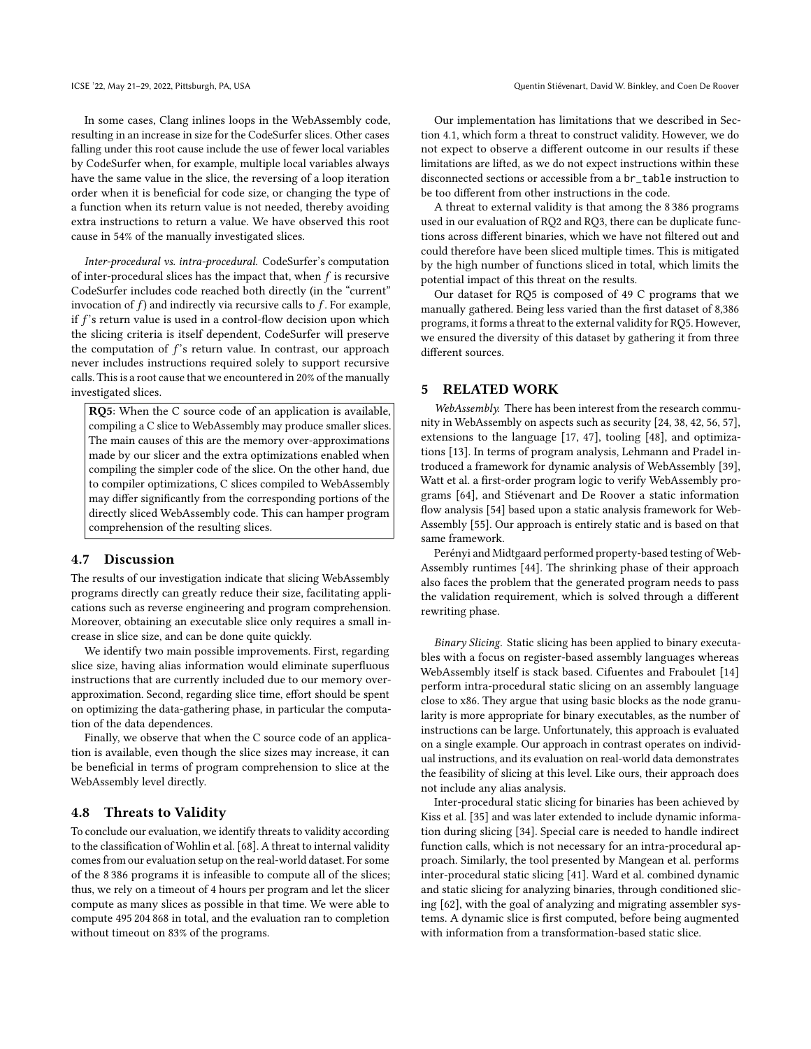In some cases, Clang inlines loops in the WebAssembly code, resulting in an increase in size for the CodeSurfer slices. Other cases falling under this root cause include the use of fewer local variables by CodeSurfer when, for example, multiple local variables always have the same value in the slice, the reversing of a loop iteration order when it is beneficial for code size, or changing the type of a function when its return value is not needed, thereby avoiding extra instructions to return a value. We have observed this root cause in 54% of the manually investigated slices.

Inter-procedural vs. intra-procedural. CodeSurfer's computation of inter-procedural slices has the impact that, when  $f$  is recursive CodeSurfer includes code reached both directly (in the "current" invocation of  $f$ ) and indirectly via recursive calls to  $f$ . For example, if  $f$ 's return value is used in a control-flow decision upon which the slicing criteria is itself dependent, CodeSurfer will preserve the computation of  $f$ 's return value. In contrast, our approach never includes instructions required solely to support recursive calls. This is a root cause that we encountered in 20% of the manually investigated slices.

RQ5: When the C source code of an application is available, compiling a C slice to WebAssembly may produce smaller slices. The main causes of this are the memory over-approximations made by our slicer and the extra optimizations enabled when compiling the simpler code of the slice. On the other hand, due to compiler optimizations, C slices compiled to WebAssembly may differ significantly from the corresponding portions of the directly sliced WebAssembly code. This can hamper program comprehension of the resulting slices.

### 4.7 Discussion

The results of our investigation indicate that slicing WebAssembly programs directly can greatly reduce their size, facilitating applications such as reverse engineering and program comprehension. Moreover, obtaining an executable slice only requires a small increase in slice size, and can be done quite quickly.

We identify two main possible improvements. First, regarding slice size, having alias information would eliminate superfluous instructions that are currently included due to our memory overapproximation. Second, regarding slice time, effort should be spent on optimizing the data-gathering phase, in particular the computation of the data dependences.

Finally, we observe that when the C source code of an application is available, even though the slice sizes may increase, it can be beneficial in terms of program comprehension to slice at the WebAssembly level directly.

#### 4.8 Threats to Validity

To conclude our evaluation, we identify threats to validity according to the classification of Wohlin et al. [\[68\]](#page-11-30). A threat to internal validity comes from our evaluation setup on the real-world dataset. For some of the 8 386 programs it is infeasible to compute all of the slices; thus, we rely on a timeout of 4 hours per program and let the slicer compute as many slices as possible in that time. We were able to compute 495 204 868 in total, and the evaluation ran to completion without timeout on 83% of the programs.

Our implementation has limitations that we described in Section [4.1,](#page-6-0) which form a threat to construct validity. However, we do not expect to observe a different outcome in our results if these limitations are lifted, as we do not expect instructions within these disconnected sections or accessible from a br\_table instruction to be too different from other instructions in the code.

A threat to external validity is that among the 8 386 programs used in our evaluation of RQ2 and RQ3, there can be duplicate functions across different binaries, which we have not filtered out and could therefore have been sliced multiple times. This is mitigated by the high number of functions sliced in total, which limits the potential impact of this threat on the results.

Our dataset for RQ5 is composed of 49 C programs that we manually gathered. Being less varied than the first dataset of 8,386 programs, it forms a threat to the external validity for RQ5. However, we ensured the diversity of this dataset by gathering it from three different sources.

#### 5 RELATED WORK

WebAssembly. There has been interest from the research community in WebAssembly on aspects such as security [\[24,](#page-10-22) [38,](#page-11-24) [42,](#page-11-31) [56,](#page-11-32) [57\]](#page-11-33), extensions to the language [\[17,](#page-10-23) [47\]](#page-11-34), tooling [\[48\]](#page-11-35), and optimizations [\[13\]](#page-10-24). In terms of program analysis, Lehmann and Pradel introduced a framework for dynamic analysis of WebAssembly [\[39\]](#page-11-36), Watt et al. a first-order program logic to verify WebAssembly programs [\[64\]](#page-11-37), and Stiévenart and De Roover a static information flow analysis [\[54\]](#page-11-20) based upon a static analysis framework for Web-Assembly [\[55\]](#page-11-25). Our approach is entirely static and is based on that same framework.

Perényi and Midtgaard performed property-based testing of Web-Assembly runtimes [\[44\]](#page-11-38). The shrinking phase of their approach also faces the problem that the generated program needs to pass the validation requirement, which is solved through a different rewriting phase.

Binary Slicing. Static slicing has been applied to binary executables with a focus on register-based assembly languages whereas WebAssembly itself is stack based. Cifuentes and Fraboulet [\[14\]](#page-10-8) perform intra-procedural static slicing on an assembly language close to x86. They argue that using basic blocks as the node granularity is more appropriate for binary executables, as the number of instructions can be large. Unfortunately, this approach is evaluated on a single example. Our approach in contrast operates on individual instructions, and its evaluation on real-world data demonstrates the feasibility of slicing at this level. Like ours, their approach does not include any alias analysis.

Inter-procedural static slicing for binaries has been achieved by Kiss et al. [\[35\]](#page-11-27) and was later extended to include dynamic information during slicing [\[34\]](#page-11-26). Special care is needed to handle indirect function calls, which is not necessary for an intra-procedural approach. Similarly, the tool presented by Mangean et al. performs inter-procedural static slicing [\[41\]](#page-11-17). Ward et al. combined dynamic and static slicing for analyzing binaries, through conditioned slicing [\[62\]](#page-11-39), with the goal of analyzing and migrating assembler systems. A dynamic slice is first computed, before being augmented with information from a transformation-based static slice.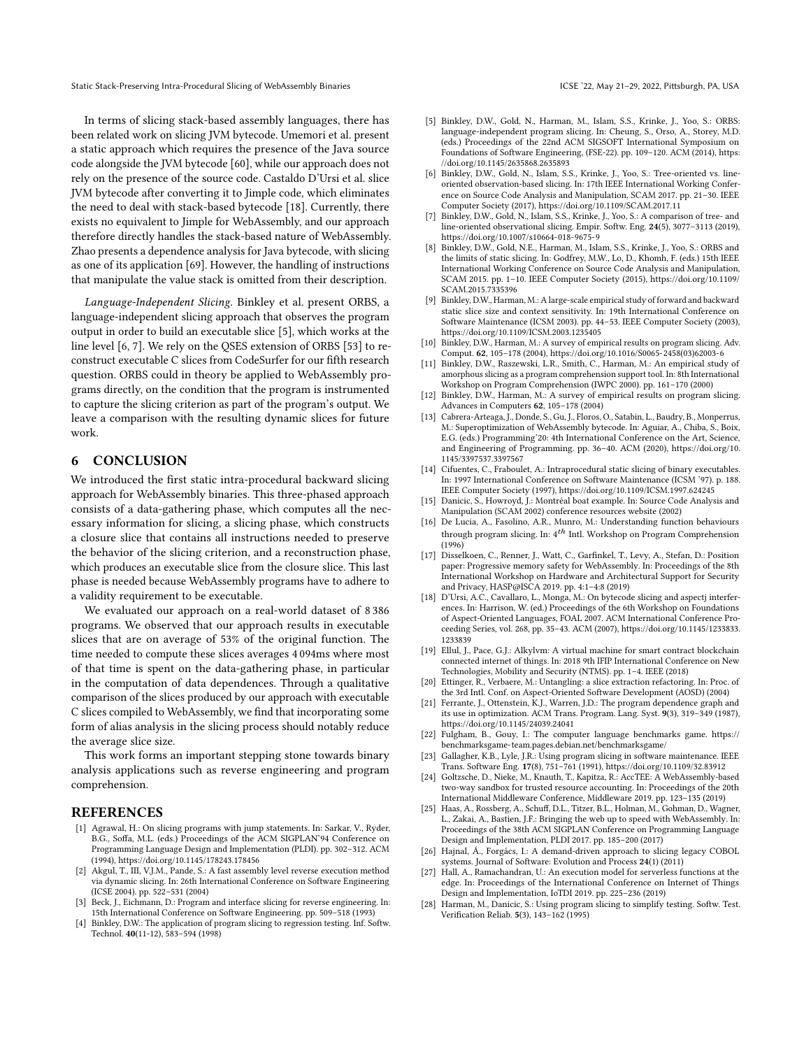In terms of slicing stack-based assembly languages, there has been related work on slicing JVM bytecode. Umemori et al. present a static approach which requires the presence of the Java source code alongside the JVM bytecode [\[60\]](#page-11-40), while our approach does not rely on the presence of the source code. Castaldo D'Ursi et al. slice JVM bytecode after converting it to Jimple code, which eliminates the need to deal with stack-based bytecode [\[18\]](#page-10-25). Currently, there exists no equivalent to Jimple for WebAssembly, and our approach therefore directly handles the stack-based nature of WebAssembly. Zhao presents a dependence analysis for Java bytecode, with slicing as one of its application [\[69\]](#page-11-41). However, the handling of instructions that manipulate the value stack is omitted from their description.

Language-Independent Slicing. Binkley et al. present ORBS, a language-independent slicing approach that observes the program output in order to build an executable slice [\[5\]](#page-10-21), which works at the line level [\[6,](#page-10-26) [7\]](#page-10-27). We rely on the QSES extension of ORBS [\[53\]](#page-11-29) to reconstruct executable C slices from CodeSurfer for our fifth research question. ORBS could in theory be applied to WebAssembly programs directly, on the condition that the program is instrumented to capture the slicing criterion as part of the program's output. We leave a comparison with the resulting dynamic slices for future work.

#### 6 CONCLUSION

We introduced the first static intra-procedural backward slicing approach for WebAssembly binaries. This three-phased approach consists of a data-gathering phase, which computes all the necessary information for slicing, a slicing phase, which constructs a closure slice that contains all instructions needed to preserve the behavior of the slicing criterion, and a reconstruction phase, which produces an executable slice from the closure slice. This last phase is needed because WebAssembly programs have to adhere to a validity requirement to be executable.

We evaluated our approach on a real-world dataset of 8 386 programs. We observed that our approach results in executable slices that are on average of 53% of the original function. The time needed to compute these slices averages 4 094ms where most of that time is spent on the data-gathering phase, in particular in the computation of data dependences. Through a qualitative comparison of the slices produced by our approach with executable C slices compiled to WebAssembly, we find that incorporating some form of alias analysis in the slicing process should notably reduce the average slice size.

This work forms an important stepping stone towards binary analysis applications such as reverse engineering and program comprehension.

#### REFERENCES

- <span id="page-10-15"></span>[1] Agrawal, H.: On slicing programs with jump statements. In: Sarkar, V., Ryder, B.G., Soffa, M.L. (eds.) Proceedings of the ACM SIGPLAN'94 Conference on Programming Language Design and Implementation (PLDI). pp. 302–312. ACM (1994),<https://doi.org/10.1145/178243.178456>
- <span id="page-10-12"></span>[2] Akgul, T., III, V.J.M., Pande, S.: A fast assembly level reverse execution method via dynamic slicing. In: 26th International Conference on Software Engineering (ICSE 2004). pp. 522–531 (2004)
- <span id="page-10-13"></span>[3] Beck, J., Eichmann, D.: Program and interface slicing for reverse engineering. In: 15th International Conference on Software Engineering. pp. 509–518 (1993)
- <span id="page-10-10"></span>[4] Binkley, D.W.: The application of program slicing to regression testing. Inf. Softw. Technol. 40(11-12), 583–594 (1998)
- <span id="page-10-21"></span>[5] Binkley, D.W., Gold, N., Harman, M., Islam, S.S., Krinke, J., Yoo, S.: ORBS: language-independent program slicing. In: Cheung, S., Orso, A., Storey, M.D. (eds.) Proceedings of the 22nd ACM SIGSOFT International Symposium on Foundations of Software Engineering, (FSE-22). pp. 109–120. ACM (2014), [https:](https://doi.org/10.1145/2635868.2635893) [//doi.org/10.1145/2635868.2635893](https://doi.org/10.1145/2635868.2635893)
- <span id="page-10-26"></span>[6] Binkley, D.W., Gold, N., Islam, S.S., Krinke, J., Yoo, S.: Tree-oriented vs. lineoriented observation-based slicing. In: 17th IEEE International Working Conference on Source Code Analysis and Manipulation, SCAM 2017. pp. 21–30. IEEE Computer Society (2017),<https://doi.org/10.1109/SCAM.2017.11>
- <span id="page-10-27"></span>[7] Binkley, D.W., Gold, N., Islam, S.S., Krinke, J., Yoo, S.: A comparison of tree- and line-oriented observational slicing. Empir. Softw. Eng. 24(5), 3077–3113 (2019), <https://doi.org/10.1007/s10664-018-9675-9>
- <span id="page-10-17"></span>Binkley, D.W., Gold, N.E., Harman, M., Islam, S.S., Krinke, J., Yoo, S.: ORBS and the limits of static slicing. In: Godfrey, M.W., Lo, D., Khomh, F. (eds.) 15th IEEE International Working Conference on Source Code Analysis and Manipulation, SCAM 2015. pp. 1–10. IEEE Computer Society (2015), [https://doi.org/10.1109/](https://doi.org/10.1109/SCAM.2015.7335396) [SCAM.2015.7335396](https://doi.org/10.1109/SCAM.2015.7335396)
- <span id="page-10-18"></span>[9] Binkley, D.W., Harman, M.: A large-scale empirical study of forward and backward static slice size and context sensitivity. In: 19th International Conference on Software Maintenance (ICSM 2003). pp. 44–53. IEEE Computer Society (2003), <https://doi.org/10.1109/ICSM.2003.1235405>
- <span id="page-10-19"></span>[10] Binkley, D.W., Harman, M.: A survey of empirical results on program slicing. Adv. Comput. 62, 105–178 (2004), [https://doi.org/10.1016/S0065-2458\(03\)62003-6](https://doi.org/10.1016/S0065-2458(03)62003-6)
- <span id="page-10-4"></span>[11] Binkley, D.W., Raszewski, L.R., Smith, C., Harman, M.: An empirical study of amorphous slicing as a program comprehension support tool. In: 8th International Workshop on Program Comprehension (IWPC 2000). pp. 161–170 (2000)
- <span id="page-10-3"></span>[12] Binkley, D.W., Harman, M.: A survey of empirical results on program slicing. Advances in Computers 62, 105–178 (2004)
- <span id="page-10-24"></span>[13] Cabrera-Arteaga, J., Donde, S., Gu, J., Floros, O., Satabin, L., Baudry, B., Monperrus, M.: Superoptimization of WebAssembly bytecode. In: Aguiar, A., Chiba, S., Boix, E.G. (eds.) Programming'20: 4th International Conference on the Art, Science, and Engineering of Programming. pp. 36–40. ACM (2020), [https://doi.org/10.](https://doi.org/10.1145/3397537.3397567) [1145/3397537.3397567](https://doi.org/10.1145/3397537.3397567)
- <span id="page-10-8"></span>[14] Cifuentes, C., Fraboulet, A.: Intraprocedural static slicing of binary executables. In: 1997 International Conference on Software Maintenance (ICSM '97). p. 188. IEEE Computer Society (1997),<https://doi.org/10.1109/ICSM.1997.624245>
- <span id="page-10-16"></span>[15] Danicic, S., Howroyd, J.: Montréal boat example. In: Source Code Analysis and Manipulation (SCAM 2002) conference resources website (2002)
- <span id="page-10-5"></span>[16] De Lucia, A., Fasolino, A.R., Munro, M.: Understanding function behaviours through program slicing. In:  $4^{th}$  Intl. Workshop on Program Comprehension (1996)
- <span id="page-10-23"></span>[17] Disselkoen, C., Renner, J., Watt, C., Garfinkel, T., Levy, A., Stefan, D.: Position paper: Progressive memory safety for WebAssembly. In: Proceedings of the 8th International Workshop on Hardware and Architectural Support for Security and Privacy, HASP@ISCA 2019. pp. 4:1–4:8 (2019)
- <span id="page-10-25"></span>[18] D'Ursi, A.C., Cavallaro, L., Monga, M.: On bytecode slicing and aspectj interferences. In: Harrison, W. (ed.) Proceedings of the 6th Workshop on Foundations of Aspect-Oriented Languages, FOAL 2007. ACM International Conference Proceeding Series, vol. 268, pp. 35–43. ACM (2007), [https://doi.org/10.1145/1233833.](https://doi.org/10.1145/1233833.1233839) [1233839](https://doi.org/10.1145/1233833.1233839)
- <span id="page-10-1"></span>[19] Ellul, J., Pace, G.J.: Alkylvm: A virtual machine for smart contract blockchain connected internet of things. In: 2018 9th IFIP International Conference on New Technologies, Mobility and Security (NTMS). pp. 1–4. IEEE (2018)
- <span id="page-10-9"></span>[20] Ettinger, R., Verbaere, M.: Untangling: a slice extraction refactoring. In: Proc. of the 3rd Intl. Conf. on Aspect-Oriented Software Development (AOSD) (2004)
- <span id="page-10-14"></span>[21] Ferrante, J., Ottenstein, K.J., Warren, J.D.: The program dependence graph and its use in optimization. ACM Trans. Program. Lang. Syst. 9(3), 319–349 (1987), <https://doi.org/10.1145/24039.24041>
- <span id="page-10-20"></span>[22] Fulgham, B., Gouy, I.: The computer language benchmarks game. [https://](https://benchmarksgame-team.pages.debian.net/benchmarksgame/) [benchmarksgame-team.pages.debian.net/benchmarksgame/](https://benchmarksgame-team.pages.debian.net/benchmarksgame/)
- <span id="page-10-6"></span>[23] Gallagher, K.B., Lyle, J.R.: Using program slicing in software maintenance. IEEE Trans. Software Eng. 17(8), 751–761 (1991),<https://doi.org/10.1109/32.83912>
- <span id="page-10-22"></span>[24] Goltzsche, D., Nieke, M., Knauth, T., Kapitza, R.: AccTEE: A WebAssembly-based two-way sandbox for trusted resource accounting. In: Proceedings of the 20th International Middleware Conference, Middleware 2019. pp. 123–135 (2019)
- <span id="page-10-0"></span>[25] Haas, A., Rossberg, A., Schuff, D.L., Titzer, B.L., Holman, M., Gohman, D., Wagner, L., Zakai, A., Bastien, J.F.: Bringing the web up to speed with WebAssembly. In: Proceedings of the 38th ACM SIGPLAN Conference on Programming Language Design and Implementation, PLDI 2017. pp. 185–200 (2017)
- <span id="page-10-7"></span>[26] Hajnal, Á., Forgács, I.: A demand-driven approach to slicing legacy COBOL systems. Journal of Software: Evolution and Process 24(1) (2011)
- <span id="page-10-2"></span>[27] Hall, A., Ramachandran, U.: An execution model for serverless functions at the edge. In: Proceedings of the International Conference on Internet of Things Design and Implementation, IoTDI 2019. pp. 225–236 (2019)
- <span id="page-10-11"></span>[28] Harman, M., Danicic, S.: Using program slicing to simplify testing. Softw. Test. Verification Reliab. 5(3), 143–162 (1995)